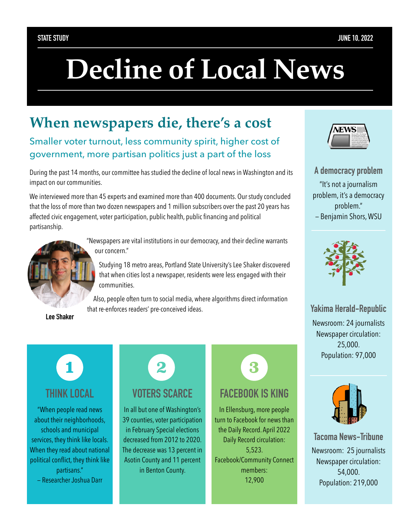# **Decline of Local News**

## **When newspapers die, there's a cost**

Smaller voter turnout, less community spirit, higher cost of government, more partisan politics just a part of the loss

During the past 14 months, our committee has studied the decline of local news in Washington and its impact on our communities.

We interviewed more than 45 experts and examined more than 400 documents. Our study concluded that the loss of more than two dozen newspapers and 1 million subscribers over the past 20 years has affected civic engagement, voter participation, public health, public financing and political partisanship.



**Lee Shaker**

"Newspapers are vital institutions in our democracy, and their decline warrants our concern."

Studying 18 metro areas, Portland State University's Lee Shaker discovered that when cities lost a newspaper, residents were less engaged with their communities.

Also, people often turn to social media, where algorithms direct information that re-enforces readers' pre-conceived ideas.



#### **THINK LOCAL**

"When people read news about their neighborhoods, schools and municipal services, they think like locals. When they read about national political conflict, they think like partisans." — Researcher Joshua Darr



In all but one of Washington's 39 counties, voter participation in February Special elections decreased from 2012 to 2020. The decrease was 13 percent in Asotin County and 11 percent in Benton County.



#### **FACEBOOK IS KING**

In Ellensburg, more people turn to Facebook for news than the Daily Record. April 2022 Daily Record circulation: 5,523. Facebook/Community Connect members: 12,900



**A democracy problem** "It's not a journalism problem, it's a democracy problem." — Benjamin Shors, WSU



#### **Yakima Herald-Republic**

Newsroom: 24 journalists Newspaper circulation: 25,000. Population: 97,000



**Tacoma News-Tribune** Newsroom: 25 journalists Newspaper circulation: 54,000. Population: 219,000